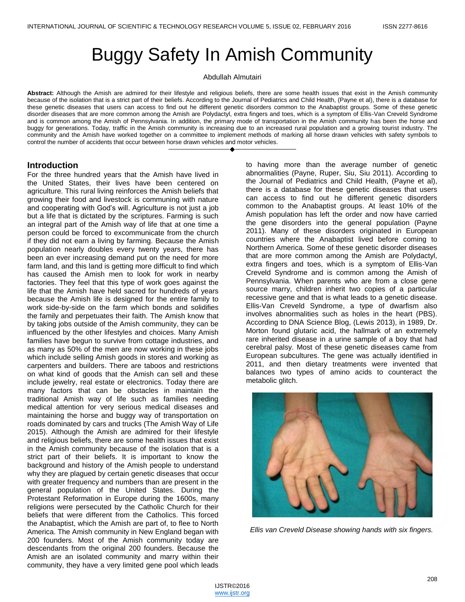# Buggy Safety In Amish Community

Abdullah Almutairi

**Abstract:** Although the Amish are admired for their lifestyle and religious beliefs, there are some health issues that exist in the Amish community because of the isolation that is a strict part of their beliefs. According to the Journal of Pediatrics and Child Health, (Payne et al), there is a database for these genetic diseases that users can access to find out he different genetic disorders common to the Anabaptist groups. Some of these genetic disorder diseases that are more common among the Amish are Polydactyl, extra fingers and toes, which is a symptom of Ellis-Van Creveld Syndrome and is common among the Amish of Pennsylvania. In addition, the primary mode of transportation in the Amish community has been the horse and buggy for generations. Today, traffic in the Amish community is increasing due to an increased rural population and a growing tourist industry. The community and the Amish have worked together on a committee to implement methods of marking all horse drawn vehicles with safety symbols to control the number of accidents that occur between horse drawn vehicles and motor vehicles.

————————————————————

### **Introduction**

For the three hundred years that the Amish have lived in the United States, their lives have been centered on agriculture. This rural living reinforces the Amish beliefs that growing their food and livestock is communing with nature and cooperating with God's will. Agriculture is not just a job but a life that is dictated by the scriptures. Farming is such an integral part of the Amish way of life that at one time a person could be forced to excommunicate from the church if they did not earn a living by farming. Because the Amish population nearly doubles every twenty years, there has been an ever increasing demand put on the need for more farm land, and this land is getting more difficult to find which has caused the Amish men to look for work in nearby factories. They feel that this type of work goes against the life that the Amish have held sacred for hundreds of years because the Amish life is designed for the entire family to work side-by-side on the farm which bonds and solidifies the family and perpetuates their faith. The Amish know that by taking jobs outside of the Amish community, they can be influenced by the other lifestyles and choices. Many Amish families have begun to survive from cottage industries, and as many as 50% of the men are now working in these jobs which include selling Amish goods in stores and working as carpenters and builders. There are taboos and restrictions on what kind of goods that the Amish can sell and these include jewelry, real estate or electronics. Today there are many factors that can be obstacles in maintain the traditional Amish way of life such as families needing medical attention for very serious medical diseases and maintaining the horse and buggy way of transportation on roads dominated by cars and trucks (The Amish Way of Life 2015). Although the Amish are admired for their lifestyle and religious beliefs, there are some health issues that exist in the Amish community because of the isolation that is a strict part of their beliefs. It is important to know the background and history of the Amish people to understand why they are plagued by certain genetic diseases that occur with greater frequency and numbers than are present in the general population of the United States. During the Protestant Reformation in Europe during the 1600s, many religions were persecuted by the Catholic Church for their beliefs that were different from the Catholics. This forced the Anabaptist, which the Amish are part of, to flee to North America. The Amish community in New England began with 200 founders. Most of the Amish community today are descendants from the original 200 founders. Because the Amish are an isolated community and marry within their community, they have a very limited gene pool which leads

to having more than the average number of genetic abnormalities (Payne, Ruper, Siu, Siu 2011). According to the Journal of Pediatrics and Child Health, (Payne et al), there is a database for these genetic diseases that users can access to find out he different genetic disorders common to the Anabaptist groups. At least 10% of the Amish population has left the order and now have carried the gene disorders into the general population (Payne 2011). Many of these disorders originated in European countries where the Anabaptist lived before coming to Northern America. Some of these genetic disorder diseases that are more common among the Amish are Polydactyl, extra fingers and toes, which is a symptom of Ellis-Van Creveld Syndrome and is common among the Amish of Pennsylvania. When parents who are from a close gene source marry, children inherit two copies of a particular recessive gene and that is what leads to a genetic disease. Ellis-Van Creveld Syndrome, a type of dwarfism also involves abnormalities such as holes in the heart (PBS). According to DNA Science Blog, (Lewis 2013), in 1989, Dr. Morton found glutaric acid, the hallmark of an extremely rare inherited disease in a urine sample of a boy that had cerebral palsy. Most of these genetic diseases came from European subcultures. The gene was actually identified in 2011, and then dietary treatments were invented that balances two types of amino acids to counteract the metabolic glitch.



*Ellis van Creveld Disease showing hands with six fingers.*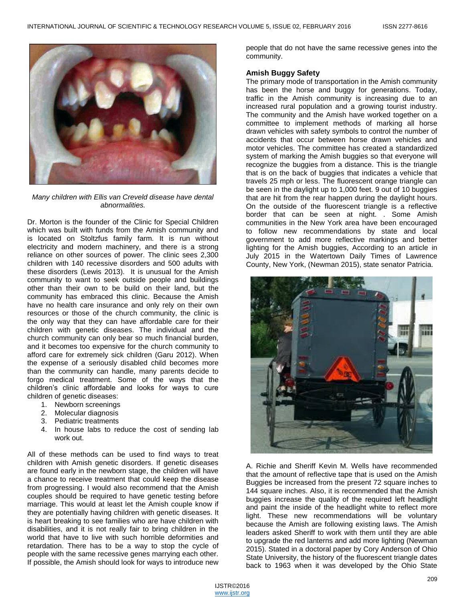

*Many children with Ellis van Creveld disease have dental abnormalities.*

Dr. Morton is the founder of the Clinic for Special Children which was built with funds from the Amish community and is located on Stoltzfus family farm. It is run without electricity and modern machinery, and there is a strong reliance on other sources of power. The clinic sees 2,300 children with 140 recessive disorders and 500 adults with these disorders (Lewis 2013). It is unusual for the Amish community to want to seek outside people and buildings other than their own to be build on their land, but the community has embraced this clinic. Because the Amish have no health care insurance and only rely on their own resources or those of the church community, the clinic is the only way that they can have affordable care for their children with genetic diseases. The individual and the church community can only bear so much financial burden, and it becomes too expensive for the church community to afford care for extremely sick children (Garu 2012). When the expense of a seriously disabled child becomes more than the community can handle, many parents decide to forgo medical treatment. Some of the ways that the children's clinic affordable and looks for ways to cure children of genetic diseases:

- 1. Newborn screenings
- 2. Molecular diagnosis
- 3. Pediatric treatments
- 4. In house labs to reduce the cost of sending lab work out.

All of these methods can be used to find ways to treat children with Amish genetic disorders. If genetic diseases are found early in the newborn stage, the children will have a chance to receive treatment that could keep the disease from progressing. I would also recommend that the Amish couples should be required to have genetic testing before marriage. This would at least let the Amish couple know if they are potentially having children with genetic diseases. It is heart breaking to see families who are have children with disabilities, and it is not really fair to bring children in the world that have to live with such horrible deformities and retardation. There has to be a way to stop the cycle of people with the same recessive genes marrying each other. If possible, the Amish should look for ways to introduce new

people that do not have the same recessive genes into the community.

#### **Amish Buggy Safety**

The primary mode of transportation in the Amish community has been the horse and buggy for generations. Today, traffic in the Amish community is increasing due to an increased rural population and a growing tourist industry. The community and the Amish have worked together on a committee to implement methods of marking all horse drawn vehicles with safety symbols to control the number of accidents that occur between horse drawn vehicles and motor vehicles. The committee has created a standardized system of marking the Amish buggies so that everyone will recognize the buggies from a distance. This is the triangle that is on the back of buggies that indicates a vehicle that travels 25 mph or less. The fluorescent orange triangle can be seen in the daylight up to 1,000 feet. 9 out of 10 buggies that are hit from the rear happen during the daylight hours. On the outside of the fluorescent triangle is a reflective border that can be seen at night. . Some Amish communities in the New York area have been encouraged to follow new recommendations by state and local government to add more reflective markings and better lighting for the Amish buggies, According to an article in July 2015 in the Watertown Daily Times of Lawrence County, New York, (Newman 2015), state senator Patricia.



A. Richie and Sheriff Kevin M. Wells have recommended that the amount of reflective tape that is used on the Amish Buggies be increased from the present 72 square inches to 144 square inches. Also, it is recommended that the Amish buggies increase the quality of the required left headlight and paint the inside of the headlight white to reflect more light. These new recommendations will be voluntary because the Amish are following existing laws. The Amish leaders asked Sheriff to work with them until they are able to upgrade the red lanterns and add more lighting (Newman 2015). Stated in a doctoral paper by Cory Anderson of Ohio State University, the history of the fluorescent triangle dates back to 1963 when it was developed by the Ohio State